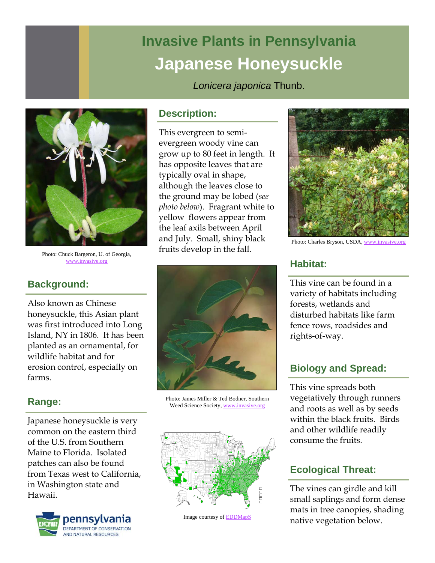# **Invasive Plants in Pennsylvania Japanese Honeysuckle**

*Lonicera japonica* Thunb.



Photo: Chuck Bargeron, U. of Georgia, www.invasive.org

# **Background:**

Also known as Chinese honeysuckle, this Asian plant was first introduced into Long Island, NY in 1806. It has been planted as an ornamental, for wildlife habitat and for erosion control, especially on farms.

# **Range:**

Japanese honeysuckle is very common on the eastern third of the U.S. from Southern Maine to Florida. Isolated patches can also be found from Texas west to California, in Washington state and Hawaii.



#### **Description:**

This evergreen to semievergreen woody vine can grow up to 80 feet in length. It has opposite leaves that are typically oval in shape, although the leaves close to the ground may be lobed (*see photo below*). Fragrant white to yellow flowers appear from the leaf axils between April and July. Small, shiny black fruits develop in the fall.



Photo: James Miller & Ted Bodner, Southern Weed Science Society, www.invasive.org



Image courtesy of EDDMapS



Photo: Charles Bryson, USDA, www.invasive.org

# **Habitat:**

This vine can be found in a variety of habitats including forests, wetlands and disturbed habitats like farm fence rows, roadsides and rights-of-way.

# **Biology and Spread:**

This vine spreads both vegetatively through runners and roots as well as by seeds within the black fruits. Birds and other wildlife readily consume the fruits.

# **Ecological Threat:**

The vines can girdle and kill small saplings and form dense mats in tree canopies, shading native vegetation below.